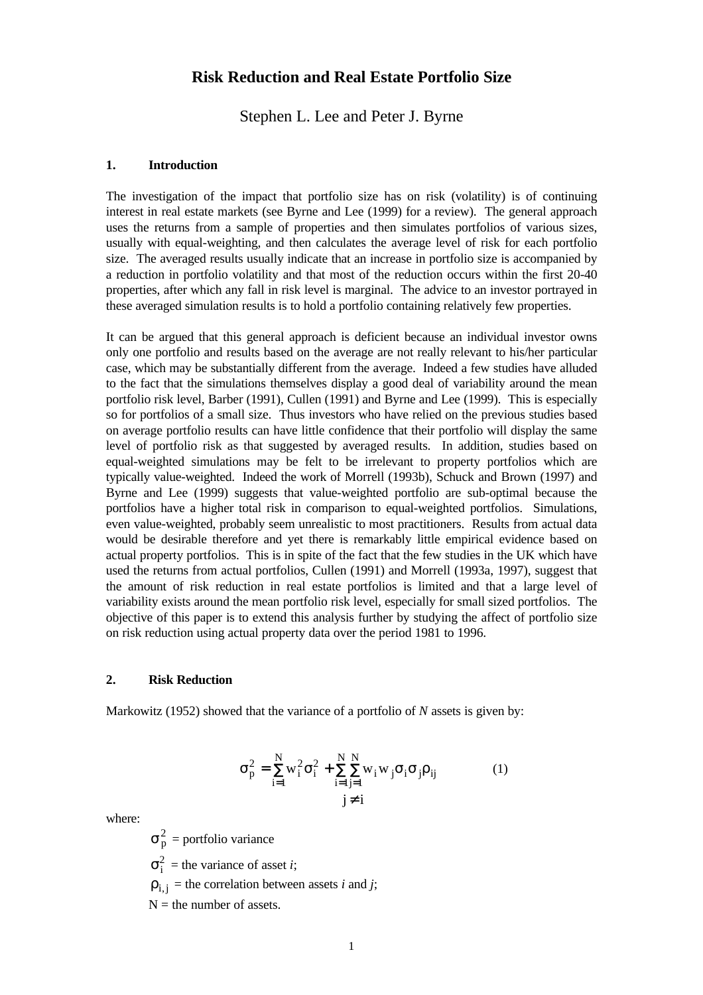# **Risk Reduction and Real Estate Portfolio Size**

Stephen L. Lee and Peter J. Byrne

### **1. Introduction**

The investigation of the impact that portfolio size has on risk (volatility) is of continuing interest in real estate markets (see Byrne and Lee (1999) for a review). The general approach uses the returns from a sample of properties and then simulates portfolios of various sizes, usually with equal-weighting, and then calculates the average level of risk for each portfolio size. The averaged results usually indicate that an increase in portfolio size is accompanied by a reduction in portfolio volatility and that most of the reduction occurs within the first 20-40 properties, after which any fall in risk level is marginal. The advice to an investor portrayed in these averaged simulation results is to hold a portfolio containing relatively few properties.

It can be argued that this general approach is deficient because an individual investor owns only one portfolio and results based on the average are not really relevant to his/her particular case, which may be substantially different from the average. Indeed a few studies have alluded to the fact that the simulations themselves display a good deal of variability around the mean portfolio risk level, Barber (1991), Cullen (1991) and Byrne and Lee (1999). This is especially so for portfolios of a small size. Thus investors who have relied on the previous studies based on average portfolio results can have little confidence that their portfolio will display the same level of portfolio risk as that suggested by averaged results. In addition, studies based on equal-weighted simulations may be felt to be irrelevant to property portfolios which are typically value-weighted. Indeed the work of Morrell (1993b), Schuck and Brown (1997) and Byrne and Lee (1999) suggests that value-weighted portfolio are sub-optimal because the portfolios have a higher total risk in comparison to equal-weighted portfolios. Simulations, even value-weighted, probably seem unrealistic to most practitioners. Results from actual data would be desirable therefore and yet there is remarkably little empirical evidence based on actual property portfolios. This is in spite of the fact that the few studies in the UK which have used the returns from actual portfolios, Cullen (1991) and Morrell (1993a, 1997), suggest that the amount of risk reduction in real estate portfolios is limited and that a large level of variability exists around the mean portfolio risk level, especially for small sized portfolios. The objective of this paper is to extend this analysis further by studying the affect of portfolio size on risk reduction using actual property data over the period 1981 to 1996.

#### **2. Risk Reduction**

Markowitz (1952) showed that the variance of a portfolio of *N* assets is given by:

$$
\sigma_p^2 = \sum_{i=1}^N w_i^2 \sigma_i^2 + \sum_{i=1}^N \sum_{j=1}^N w_i w_j \sigma_i \sigma_j \rho_{ij}
$$
\n
$$
j \neq i
$$
\n(1)

where:

 $\sigma_p^2$  = portfolio variance  $\sigma_i^2$  = the variance of asset *i*;  $\rho_{i,j}$  = the correlation between assets *i* and *j*;  $N =$  the number of assets.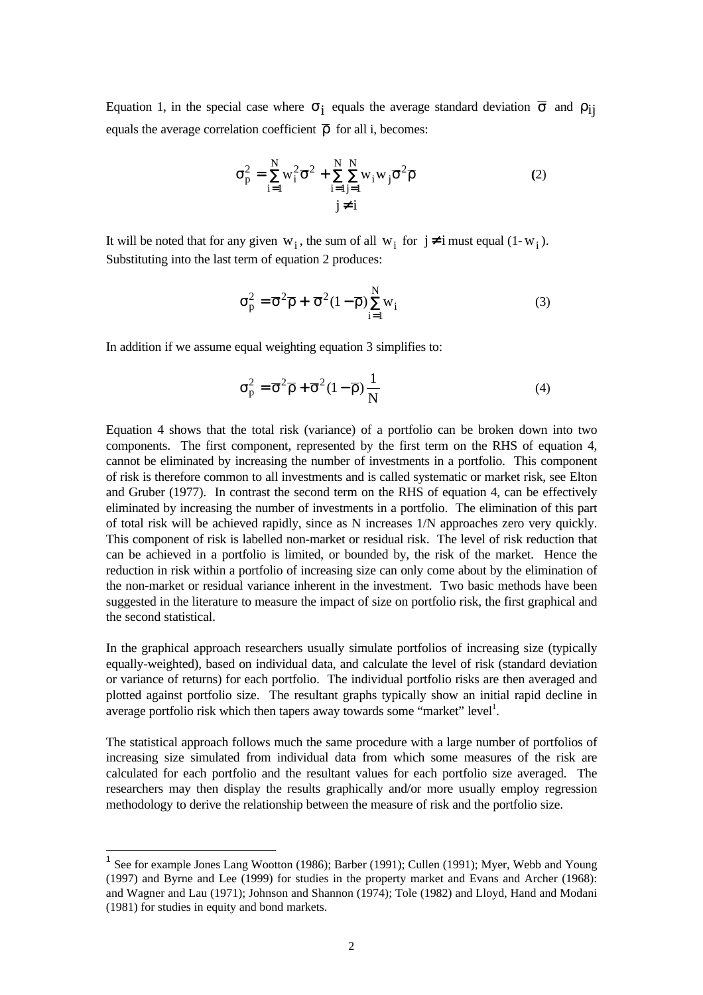Equation 1, in the special case where  $\sigma_i$  equals the average standard deviation  $\bar{\sigma}$  and  $\rho_{ij}$ equals the average correlation coefficient  $\overline{\rho}$  for all i, becomes:

$$
\sigma_p^2 = \sum_{i=1}^{N} w_i^2 \overline{\sigma}^2 + \sum_{i=1}^{N} \sum_{j=1}^{N} w_i w_j \overline{\sigma}^2 \overline{\rho}
$$
\n
$$
j \neq i
$$
\n(2)

It will be noted that for any given  $w_i$ , the sum of all  $w_i$  for  $j \neq i$  must equal  $(1-w_i)$ . Substituting into the last term of equation 2 produces:

$$
\sigma_{\mathbf{p}}^2 = \overline{\sigma}^2 \overline{\rho} + \overline{\sigma}^2 (1 - \overline{\rho}) \sum_{i=1}^N w_i
$$
 (3)

In addition if we assume equal weighting equation 3 simplifies to:

$$
\sigma_{\mathbf{p}}^2 = \overline{\sigma}^2 \overline{\rho} + \overline{\sigma}^2 (1 - \overline{\rho}) \frac{1}{N}
$$
 (4)

Equation 4 shows that the total risk (variance) of a portfolio can be broken down into two components. The first component, represented by the first term on the RHS of equation 4, cannot be eliminated by increasing the number of investments in a portfolio. This component of risk is therefore common to all investments and is called systematic or market risk, see Elton and Gruber (1977). In contrast the second term on the RHS of equation 4, can be effectively eliminated by increasing the number of investments in a portfolio. The elimination of this part of total risk will be achieved rapidly, since as N increases 1/N approaches zero very quickly. This component of risk is labelled non-market or residual risk. The level of risk reduction that can be achieved in a portfolio is limited, or bounded by, the risk of the market. Hence the reduction in risk within a portfolio of increasing size can only come about by the elimination of the non-market or residual variance inherent in the investment. Two basic methods have been suggested in the literature to measure the impact of size on portfolio risk, the first graphical and the second statistical.

In the graphical approach researchers usually simulate portfolios of increasing size (typically equally-weighted), based on individual data, and calculate the level of risk (standard deviation or variance of returns) for each portfolio. The individual portfolio risks are then averaged and plotted against portfolio size. The resultant graphs typically show an initial rapid decline in average portfolio risk which then tapers away towards some "market" level<sup>1</sup>.

The statistical approach follows much the same procedure with a large number of portfolios of increasing size simulated from individual data from which some measures of the risk are calculated for each portfolio and the resultant values for each portfolio size averaged. The researchers may then display the results graphically and/or more usually employ regression methodology to derive the relationship between the measure of risk and the portfolio size.

l

<sup>&</sup>lt;sup>1</sup> See for example Jones Lang Wootton (1986); Barber (1991); Cullen (1991); Myer, Webb and Young (1997) and Byrne and Lee (1999) for studies in the property market and Evans and Archer (1968): and Wagner and Lau (1971); Johnson and Shannon (1974); Tole (1982) and Lloyd, Hand and Modani (1981) for studies in equity and bond markets.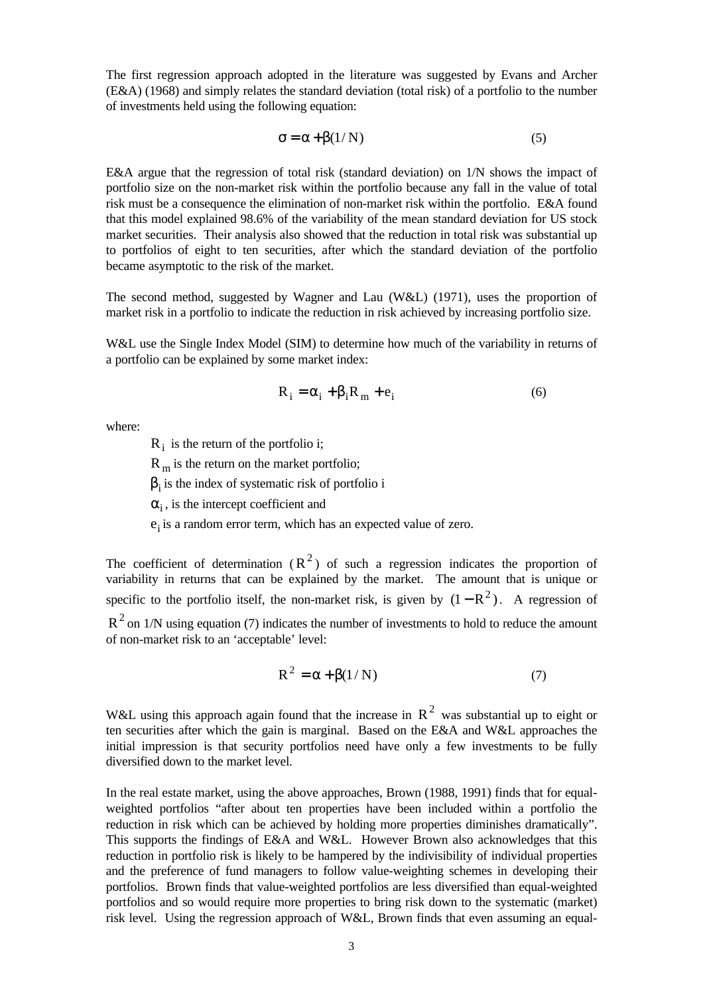The first regression approach adopted in the literature was suggested by Evans and Archer (E&A) (1968) and simply relates the standard deviation (total risk) of a portfolio to the number of investments held using the following equation:

$$
\sigma = \alpha + \beta(1/N) \tag{5}
$$

E&A argue that the regression of total risk (standard deviation) on 1/N shows the impact of portfolio size on the non-market risk within the portfolio because any fall in the value of total risk must be a consequence the elimination of non-market risk within the portfolio. E&A found that this model explained 98.6% of the variability of the mean standard deviation for US stock market securities. Their analysis also showed that the reduction in total risk was substantial up to portfolios of eight to ten securities, after which the standard deviation of the portfolio became asymptotic to the risk of the market.

The second method, suggested by Wagner and Lau (W&L) (1971), uses the proportion of market risk in a portfolio to indicate the reduction in risk achieved by increasing portfolio size.

W&L use the Single Index Model (SIM) to determine how much of the variability in returns of a portfolio can be explained by some market index:

$$
R_i = \alpha_i + \beta_i R_m + e_i \tag{6}
$$

where:

 $R_i$  is the return of the portfolio i;

 $R_m$  is the return on the market portfolio;

 $\beta_i$  is the index of systematic risk of portfolio i

 $\alpha_i$ , is the intercept coefficient and

 $e_i$  is a random error term, which has an expected value of zero.

The coefficient of determination  $(R^2)$  of such a regression indicates the proportion of variability in returns that can be explained by the market. The amount that is unique or specific to the portfolio itself, the non-market risk, is given by  $(1 - R^2)$ . A regression of  $R<sup>2</sup>$  on 1/N using equation (7) indicates the number of investments to hold to reduce the amount of non-market risk to an 'acceptable' level:

$$
R^2 = \alpha + \beta(1/N) \tag{7}
$$

W&L using this approach again found that the increase in  $R^2$  was substantial up to eight or ten securities after which the gain is marginal. Based on the E&A and W&L approaches the initial impression is that security portfolios need have only a few investments to be fully diversified down to the market level.

In the real estate market, using the above approaches, Brown (1988, 1991) finds that for equalweighted portfolios "after about ten properties have been included within a portfolio the reduction in risk which can be achieved by holding more properties diminishes dramatically". This supports the findings of E&A and W&L. However Brown also acknowledges that this reduction in portfolio risk is likely to be hampered by the indivisibility of individual properties and the preference of fund managers to follow value-weighting schemes in developing their portfolios. Brown finds that value-weighted portfolios are less diversified than equal-weighted portfolios and so would require more properties to bring risk down to the systematic (market) risk level. Using the regression approach of W&L, Brown finds that even assuming an equal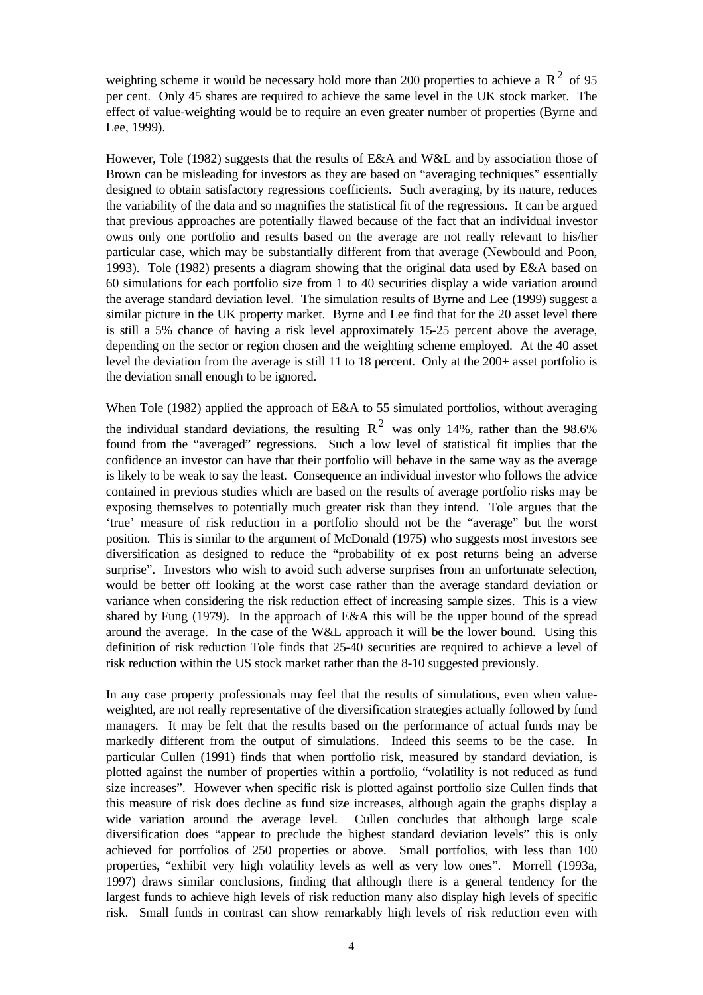weighting scheme it would be necessary hold more than 200 properties to achieve a  $R^2$  of 95 per cent. Only 45 shares are required to achieve the same level in the UK stock market. The effect of value-weighting would be to require an even greater number of properties (Byrne and Lee, 1999).

However, Tole (1982) suggests that the results of E&A and W&L and by association those of Brown can be misleading for investors as they are based on "averaging techniques" essentially designed to obtain satisfactory regressions coefficients. Such averaging, by its nature, reduces the variability of the data and so magnifies the statistical fit of the regressions. It can be argued that previous approaches are potentially flawed because of the fact that an individual investor owns only one portfolio and results based on the average are not really relevant to his/her particular case, which may be substantially different from that average (Newbould and Poon, 1993). Tole (1982) presents a diagram showing that the original data used by E&A based on 60 simulations for each portfolio size from 1 to 40 securities display a wide variation around the average standard deviation level. The simulation results of Byrne and Lee (1999) suggest a similar picture in the UK property market. Byrne and Lee find that for the 20 asset level there is still a 5% chance of having a risk level approximately 15-25 percent above the average, depending on the sector or region chosen and the weighting scheme employed. At the 40 asset level the deviation from the average is still 11 to 18 percent. Only at the 200+ asset portfolio is the deviation small enough to be ignored.

When Tole (1982) applied the approach of E&A to 55 simulated portfolios, without averaging the individual standard deviations, the resulting  $R^2$  was only 14%, rather than the 98.6% found from the "averaged" regressions. Such a low level of statistical fit implies that the confidence an investor can have that their portfolio will behave in the same way as the average is likely to be weak to say the least. Consequence an individual investor who follows the advice contained in previous studies which are based on the results of average portfolio risks may be exposing themselves to potentially much greater risk than they intend. Tole argues that the 'true' measure of risk reduction in a portfolio should not be the "average" but the worst position. This is similar to the argument of McDonald (1975) who suggests most investors see diversification as designed to reduce the "probability of ex post returns being an adverse surprise". Investors who wish to avoid such adverse surprises from an unfortunate selection, would be better off looking at the worst case rather than the average standard deviation or variance when considering the risk reduction effect of increasing sample sizes. This is a view shared by Fung (1979). In the approach of E&A this will be the upper bound of the spread around the average. In the case of the W&L approach it will be the lower bound. Using this definition of risk reduction Tole finds that 25-40 securities are required to achieve a level of risk reduction within the US stock market rather than the 8-10 suggested previously.

In any case property professionals may feel that the results of simulations, even when valueweighted, are not really representative of the diversification strategies actually followed by fund managers. It may be felt that the results based on the performance of actual funds may be markedly different from the output of simulations. Indeed this seems to be the case. In particular Cullen (1991) finds that when portfolio risk, measured by standard deviation, is plotted against the number of properties within a portfolio, "volatility is not reduced as fund size increases". However when specific risk is plotted against portfolio size Cullen finds that this measure of risk does decline as fund size increases, although again the graphs display a wide variation around the average level. Cullen concludes that although large scale diversification does "appear to preclude the highest standard deviation levels" this is only achieved for portfolios of 250 properties or above. Small portfolios, with less than 100 properties, "exhibit very high volatility levels as well as very low ones". Morrell (1993a, 1997) draws similar conclusions, finding that although there is a general tendency for the largest funds to achieve high levels of risk reduction many also display high levels of specific risk. Small funds in contrast can show remarkably high levels of risk reduction even with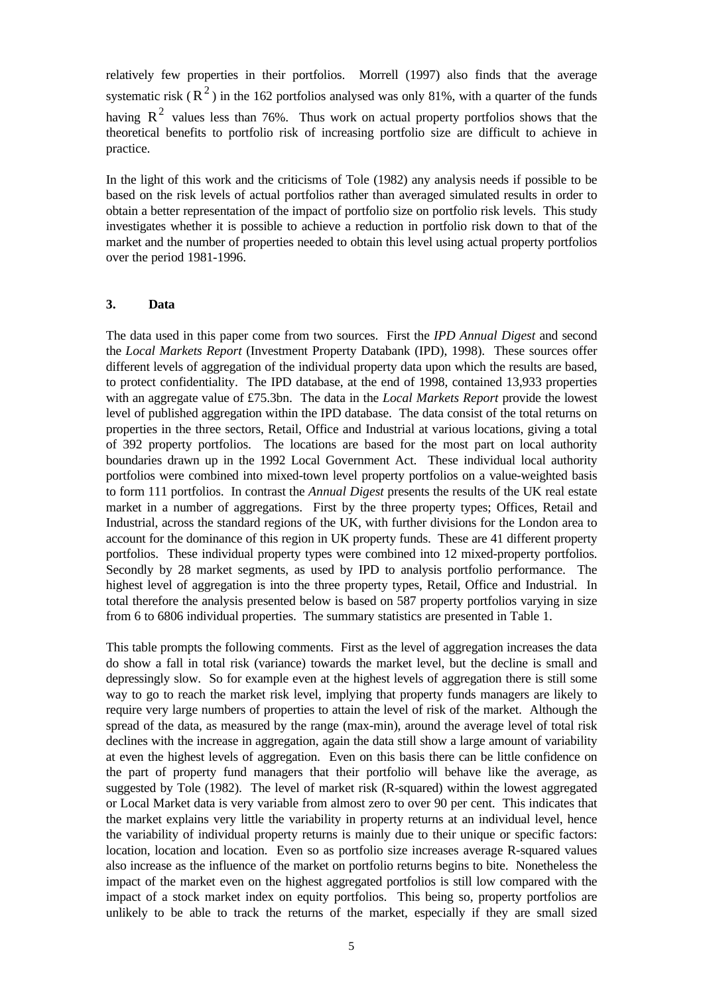relatively few properties in their portfolios. Morrell (1997) also finds that the average systematic risk ( $R<sup>2</sup>$ ) in the 162 portfolios analysed was only 81%, with a quarter of the funds having  $R^2$  values less than 76%. Thus work on actual property portfolios shows that the theoretical benefits to portfolio risk of increasing portfolio size are difficult to achieve in practice.

In the light of this work and the criticisms of Tole (1982) any analysis needs if possible to be based on the risk levels of actual portfolios rather than averaged simulated results in order to obtain a better representation of the impact of portfolio size on portfolio risk levels. This study investigates whether it is possible to achieve a reduction in portfolio risk down to that of the market and the number of properties needed to obtain this level using actual property portfolios over the period 1981-1996.

## **3. Data**

The data used in this paper come from two sources. First the *IPD Annual Digest* and second the *Local Markets Report* (Investment Property Databank (IPD), 1998). These sources offer different levels of aggregation of the individual property data upon which the results are based, to protect confidentiality. The IPD database, at the end of 1998, contained 13,933 properties with an aggregate value of £75.3bn. The data in the *Local Markets Report* provide the lowest level of published aggregation within the IPD database. The data consist of the total returns on properties in the three sectors, Retail, Office and Industrial at various locations, giving a total of 392 property portfolios. The locations are based for the most part on local authority boundaries drawn up in the 1992 Local Government Act. These individual local authority portfolios were combined into mixed-town level property portfolios on a value-weighted basis to form 111 portfolios. In contrast the *Annual Digest* presents the results of the UK real estate market in a number of aggregations. First by the three property types; Offices, Retail and Industrial, across the standard regions of the UK, with further divisions for the London area to account for the dominance of this region in UK property funds. These are 41 different property portfolios. These individual property types were combined into 12 mixed-property portfolios. Secondly by 28 market segments, as used by IPD to analysis portfolio performance. The highest level of aggregation is into the three property types, Retail, Office and Industrial. In total therefore the analysis presented below is based on 587 property portfolios varying in size from 6 to 6806 individual properties. The summary statistics are presented in Table 1.

This table prompts the following comments. First as the level of aggregation increases the data do show a fall in total risk (variance) towards the market level, but the decline is small and depressingly slow. So for example even at the highest levels of aggregation there is still some way to go to reach the market risk level, implying that property funds managers are likely to require very large numbers of properties to attain the level of risk of the market. Although the spread of the data, as measured by the range (max-min), around the average level of total risk declines with the increase in aggregation, again the data still show a large amount of variability at even the highest levels of aggregation. Even on this basis there can be little confidence on the part of property fund managers that their portfolio will behave like the average, as suggested by Tole (1982). The level of market risk (R-squared) within the lowest aggregated or Local Market data is very variable from almost zero to over 90 per cent. This indicates that the market explains very little the variability in property returns at an individual level, hence the variability of individual property returns is mainly due to their unique or specific factors: location, location and location. Even so as portfolio size increases average R-squared values also increase as the influence of the market on portfolio returns begins to bite. Nonetheless the impact of the market even on the highest aggregated portfolios is still low compared with the impact of a stock market index on equity portfolios. This being so, property portfolios are unlikely to be able to track the returns of the market, especially if they are small sized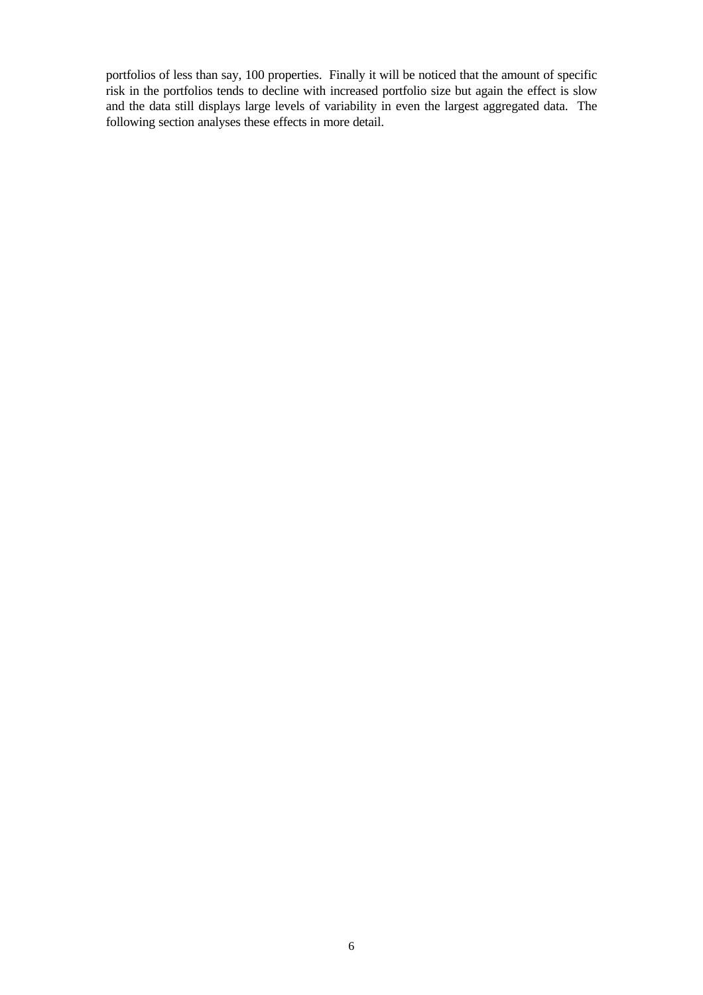portfolios of less than say, 100 properties. Finally it will be noticed that the amount of specific risk in the portfolios tends to decline with increased portfolio size but again the effect is slow and the data still displays large levels of variability in even the largest aggregated data. The following section analyses these effects in more detail.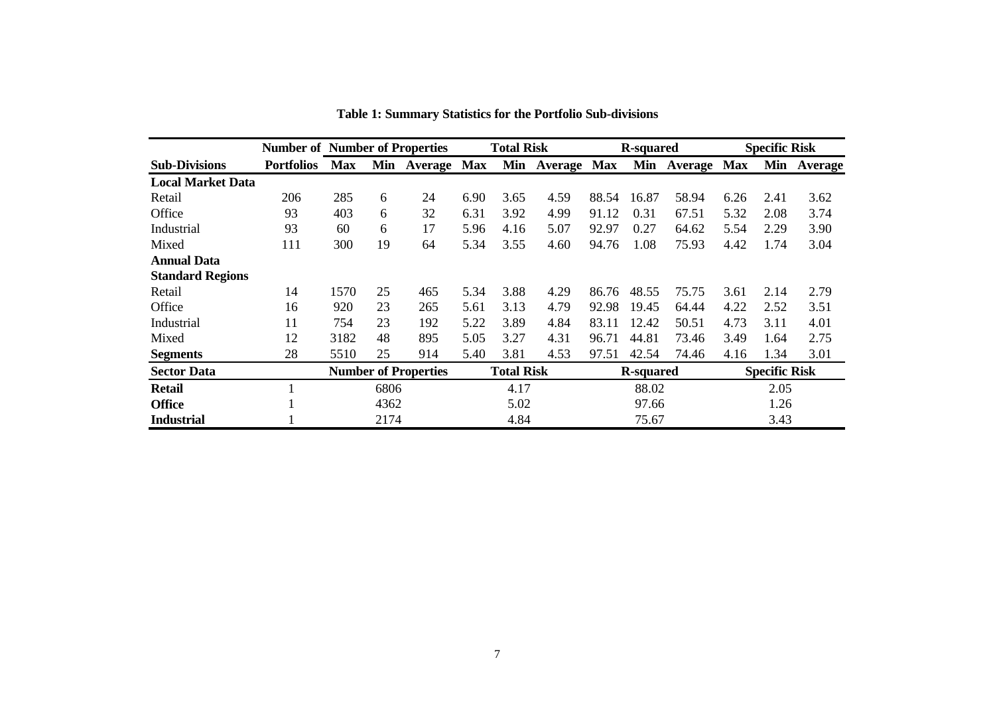|                          |                   | <b>Number of Number of Properties</b> |      |                   | <b>Total Risk</b> |                  |             | <b>R-squared</b>     |       |             | <b>Specific Risk</b> |      |             |
|--------------------------|-------------------|---------------------------------------|------|-------------------|-------------------|------------------|-------------|----------------------|-------|-------------|----------------------|------|-------------|
| <b>Sub-Divisions</b>     | <b>Portfolios</b> | <b>Max</b>                            |      | Min Average Max   |                   | Min              | Average Max |                      | Min   | Average Max |                      |      | Min Average |
| <b>Local Market Data</b> |                   |                                       |      |                   |                   |                  |             |                      |       |             |                      |      |             |
| Retail                   | 206               | 285                                   | 6    | 24                | 6.90              | 3.65             | 4.59        | 88.54                | 16.87 | 58.94       | 6.26                 | 2.41 | 3.62        |
| Office                   | 93                | 403                                   | 6    | 32                | 6.31              | 3.92             | 4.99        | 91.12                | 0.31  | 67.51       | 5.32                 | 2.08 | 3.74        |
| Industrial               | 93                | 60                                    | 6    | 17                | 5.96              | 4.16             | 5.07        | 92.97                | 0.27  | 64.62       | 5.54                 | 2.29 | 3.90        |
| Mixed                    | 111               | 300                                   | 19   | 64                | 5.34              | 3.55             | 4.60        | 94.76                | 1.08  | 75.93       | 4.42                 | 1.74 | 3.04        |
| <b>Annual Data</b>       |                   |                                       |      |                   |                   |                  |             |                      |       |             |                      |      |             |
| <b>Standard Regions</b>  |                   |                                       |      |                   |                   |                  |             |                      |       |             |                      |      |             |
| Retail                   | 14                | 1570                                  | 25   | 465               | 5.34              | 3.88             | 4.29        | 86.76                | 48.55 | 75.75       | 3.61                 | 2.14 | 2.79        |
| Office                   | 16                | 920                                   | 23   | 265               | 5.61              | 3.13             | 4.79        | 92.98                | 19.45 | 64.44       | 4.22                 | 2.52 | 3.51        |
| Industrial               | 11                | 754                                   | 23   | 192               | 5.22              | 3.89             | 4.84        | 83.11                | 12.42 | 50.51       | 4.73                 | 3.11 | 4.01        |
| Mixed                    | 12                | 3182                                  | 48   | 895               | 5.05              | 3.27             | 4.31        | 96.71                | 44.81 | 73.46       | 3.49                 | 1.64 | 2.75        |
| <b>Segments</b>          | 28                | 5510                                  | 25   | 914               | 5.40              | 3.81             | 4.53        | 97.51                | 42.54 | 74.46       | 4.16                 | 1.34 | 3.01        |
| <b>Sector Data</b>       |                   | <b>Number of Properties</b>           |      | <b>Total Risk</b> |                   | <b>R-squared</b> |             | <b>Specific Risk</b> |       |             |                      |      |             |
| <b>Retail</b>            |                   |                                       | 6806 |                   |                   | 4.17             |             |                      | 88.02 |             |                      | 2.05 |             |
| <b>Office</b>            |                   |                                       | 4362 |                   |                   | 5.02             |             |                      | 97.66 |             |                      | 1.26 |             |
| <b>Industrial</b>        |                   |                                       | 2174 |                   |                   | 4.84             |             |                      | 75.67 |             |                      | 3.43 |             |

**Table 1: Summary Statistics for the Portfolio Sub-divisions**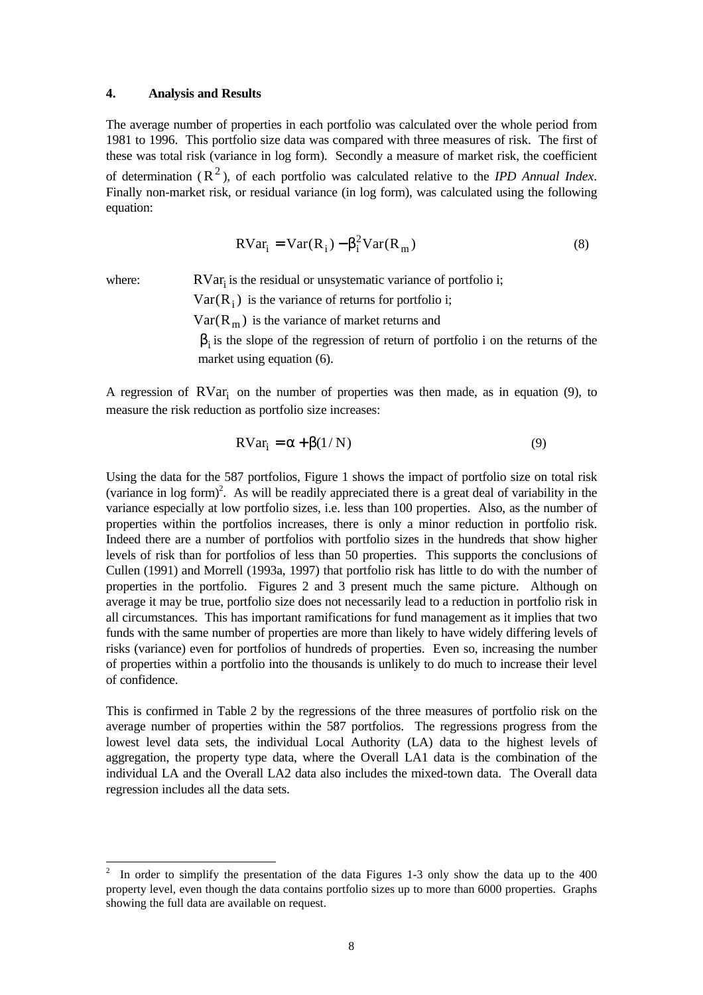### **4. Analysis and Results**

The average number of properties in each portfolio was calculated over the whole period from 1981 to 1996. This portfolio size data was compared with three measures of risk. The first of these was total risk (variance in log form). Secondly a measure of market risk, the coefficient of determination  $(R^2)$ , of each portfolio was calculated relative to the *IPD Annual Index*. Finally non-market risk, or residual variance (in log form), was calculated using the following equation:

$$
RVar_i = Var(R_i) - \beta_i^2 Var(R_m)
$$
\n(8)

-

where:  $RVar_i$  is the residual or unsystematic variance of portfolio i;

 $Var(R_i)$  is the variance of returns for portfolio i;

 $Var(R_m)$  is the variance of market returns and

 $\beta_i$  is the slope of the regression of return of portfolio i on the returns of the market using equation (6).

A regression of  $RVar<sub>i</sub>$  on the number of properties was then made, as in equation (9), to measure the risk reduction as portfolio size increases:

$$
RVar_i = \alpha + \beta(1/N) \tag{9}
$$

Using the data for the 587 portfolios, Figure 1 shows the impact of portfolio size on total risk (variance in log form)<sup>2</sup>. As will be readily appreciated there is a great deal of variability in the variance especially at low portfolio sizes, i.e. less than 100 properties. Also, as the number of properties within the portfolios increases, there is only a minor reduction in portfolio risk. Indeed there are a number of portfolios with portfolio sizes in the hundreds that show higher levels of risk than for portfolios of less than 50 properties. This supports the conclusions of Cullen (1991) and Morrell (1993a, 1997) that portfolio risk has little to do with the number of properties in the portfolio. Figures 2 and 3 present much the same picture. Although on average it may be true, portfolio size does not necessarily lead to a reduction in portfolio risk in all circumstances. This has important ramifications for fund management as it implies that two funds with the same number of properties are more than likely to have widely differing levels of risks (variance) even for portfolios of hundreds of properties. Even so, increasing the number of properties within a portfolio into the thousands is unlikely to do much to increase their level of confidence.

This is confirmed in Table 2 by the regressions of the three measures of portfolio risk on the average number of properties within the 587 portfolios. The regressions progress from the lowest level data sets, the individual Local Authority (LA) data to the highest levels of aggregation, the property type data, where the Overall LA1 data is the combination of the individual LA and the Overall LA2 data also includes the mixed-town data. The Overall data regression includes all the data sets.

<sup>2</sup> In order to simplify the presentation of the data Figures 1-3 only show the data up to the 400 property level, even though the data contains portfolio sizes up to more than 6000 properties. Graphs showing the full data are available on request.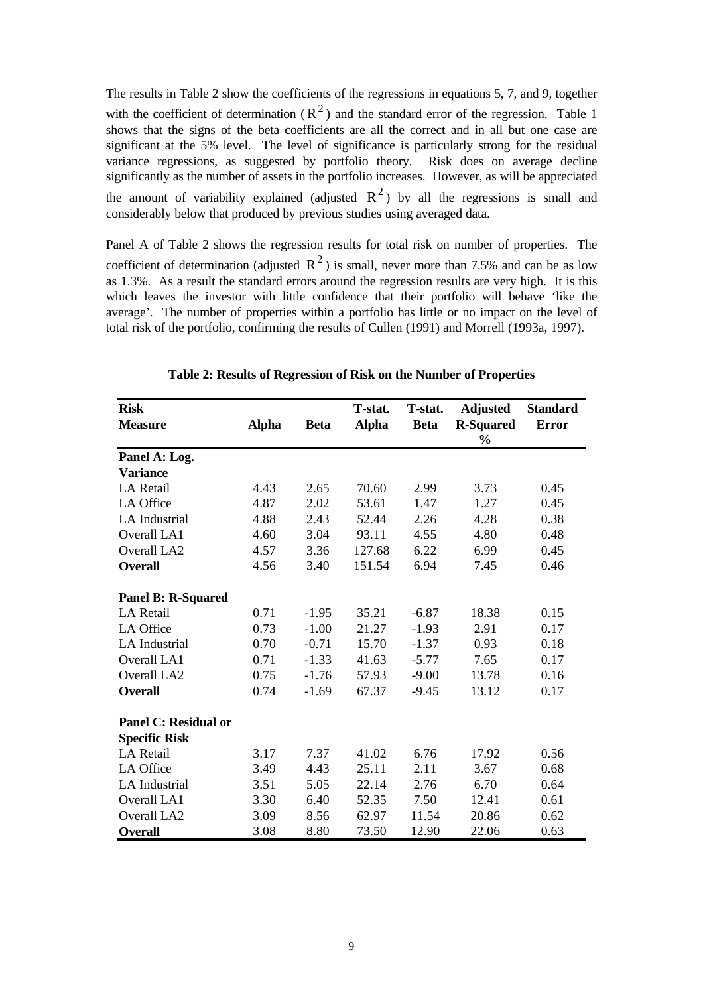The results in Table 2 show the coefficients of the regressions in equations 5, 7, and 9, together with the coefficient of determination  $(R^2)$  and the standard error of the regression. Table 1 shows that the signs of the beta coefficients are all the correct and in all but one case are significant at the 5% level. The level of significance is particularly strong for the residual variance regressions, as suggested by portfolio theory. Risk does on average decline significantly as the number of assets in the portfolio increases. However, as will be appreciated the amount of variability explained (adjusted  $R^2$ ) by all the regressions is small and considerably below that produced by previous studies using averaged data.

Panel A of Table 2 shows the regression results for total risk on number of properties. The coefficient of determination (adjusted  $R^2$ ) is small, never more than 7.5% and can be as low as 1.3%. As a result the standard errors around the regression results are very high. It is this which leaves the investor with little confidence that their portfolio will behave 'like the average'. The number of properties within a portfolio has little or no impact on the level of total risk of the portfolio, confirming the results of Cullen (1991) and Morrell (1993a, 1997).

| <b>Risk</b>                 |              |             | T-stat.      | T-stat.     | <b>Adjusted</b>  | <b>Standard</b> |
|-----------------------------|--------------|-------------|--------------|-------------|------------------|-----------------|
| <b>Measure</b>              | <b>Alpha</b> | <b>Beta</b> | <b>Alpha</b> | <b>Beta</b> | <b>R-Squared</b> | <b>Error</b>    |
|                             |              |             |              |             | $\frac{0}{0}$    |                 |
| Panel A: Log.               |              |             |              |             |                  |                 |
| <b>Variance</b>             |              |             |              |             |                  |                 |
| <b>LA Retail</b>            | 4.43         | 2.65        | 70.60        | 2.99        | 3.73             | 0.45            |
| LA Office                   | 4.87         | 2.02        | 53.61        | 1.47        | 1.27             | 0.45            |
| <b>LA</b> Industrial        | 4.88         | 2.43        | 52.44        | 2.26        | 4.28             | 0.38            |
| <b>Overall LA1</b>          | 4.60         | 3.04        | 93.11        | 4.55        | 4.80             | 0.48            |
| Overall LA2                 | 4.57         | 3.36        | 127.68       | 6.22        | 6.99             | 0.45            |
| <b>Overall</b>              | 4.56         | 3.40        | 151.54       | 6.94        | 7.45             | 0.46            |
| <b>Panel B: R-Squared</b>   |              |             |              |             |                  |                 |
| <b>LA Retail</b>            | 0.71         | $-1.95$     | 35.21        | $-6.87$     | 18.38            | 0.15            |
| LA Office                   | 0.73         | $-1.00$     | 21.27        | $-1.93$     | 2.91             | 0.17            |
| <b>LA</b> Industrial        | 0.70         | $-0.71$     | 15.70        | $-1.37$     | 0.93             | 0.18            |
| Overall LA1                 | 0.71         | $-1.33$     | 41.63        | $-5.77$     | 7.65             | 0.17            |
| Overall LA2                 | 0.75         | $-1.76$     | 57.93        | $-9.00$     | 13.78            | 0.16            |
| <b>Overall</b>              | 0.74         | $-1.69$     | 67.37        | $-9.45$     | 13.12            | 0.17            |
| <b>Panel C: Residual or</b> |              |             |              |             |                  |                 |
| <b>Specific Risk</b>        |              |             |              |             |                  |                 |
| LA Retail                   | 3.17         | 7.37        | 41.02        | 6.76        | 17.92            | 0.56            |
| LA Office                   | 3.49         | 4.43        | 25.11        | 2.11        | 3.67             | 0.68            |
| <b>LA</b> Industrial        | 3.51         | 5.05        | 22.14        | 2.76        | 6.70             | 0.64            |
| Overall LA1                 | 3.30         | 6.40        | 52.35        | 7.50        | 12.41            | 0.61            |
| Overall LA2                 | 3.09         | 8.56        | 62.97        | 11.54       | 20.86            | 0.62            |
| <b>Overall</b>              | 3.08         | 8.80        | 73.50        | 12.90       | 22.06            | 0.63            |

**Table 2: Results of Regression of Risk on the Number of Properties**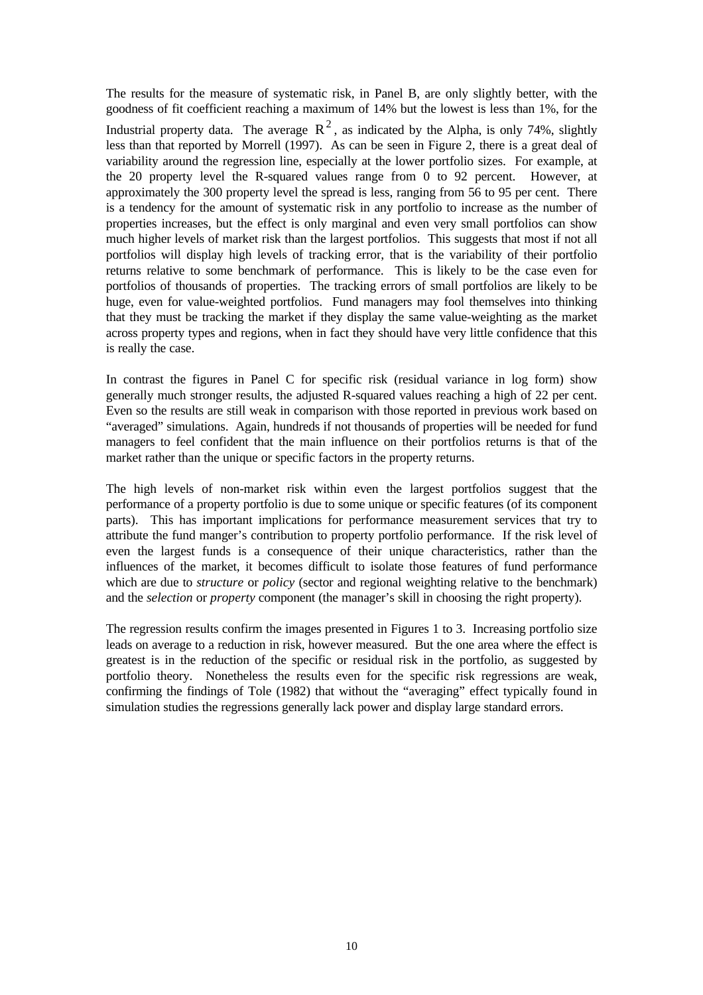The results for the measure of systematic risk, in Panel B, are only slightly better, with the goodness of fit coefficient reaching a maximum of 14% but the lowest is less than 1%, for the Industrial property data. The average  $R^2$ , as indicated by the Alpha, is only 74%, slightly less than that reported by Morrell (1997). As can be seen in Figure 2, there is a great deal of variability around the regression line, especially at the lower portfolio sizes. For example, at the 20 property level the R-squared values range from 0 to 92 percent. However, at approximately the 300 property level the spread is less, ranging from 56 to 95 per cent. There is a tendency for the amount of systematic risk in any portfolio to increase as the number of properties increases, but the effect is only marginal and even very small portfolios can show much higher levels of market risk than the largest portfolios. This suggests that most if not all portfolios will display high levels of tracking error, that is the variability of their portfolio returns relative to some benchmark of performance. This is likely to be the case even for portfolios of thousands of properties. The tracking errors of small portfolios are likely to be huge, even for value-weighted portfolios. Fund managers may fool themselves into thinking that they must be tracking the market if they display the same value-weighting as the market across property types and regions, when in fact they should have very little confidence that this is really the case.

In contrast the figures in Panel C for specific risk (residual variance in log form) show generally much stronger results, the adjusted R-squared values reaching a high of 22 per cent. Even so the results are still weak in comparison with those reported in previous work based on "averaged" simulations. Again, hundreds if not thousands of properties will be needed for fund managers to feel confident that the main influence on their portfolios returns is that of the market rather than the unique or specific factors in the property returns.

The high levels of non-market risk within even the largest portfolios suggest that the performance of a property portfolio is due to some unique or specific features (of its component parts). This has important implications for performance measurement services that try to attribute the fund manger's contribution to property portfolio performance. If the risk level of even the largest funds is a consequence of their unique characteristics, rather than the influences of the market, it becomes difficult to isolate those features of fund performance which are due to *structure* or *policy* (sector and regional weighting relative to the benchmark) and the *selection* or *property* component (the manager's skill in choosing the right property).

The regression results confirm the images presented in Figures 1 to 3. Increasing portfolio size leads on average to a reduction in risk, however measured. But the one area where the effect is greatest is in the reduction of the specific or residual risk in the portfolio, as suggested by portfolio theory. Nonetheless the results even for the specific risk regressions are weak, confirming the findings of Tole (1982) that without the "averaging" effect typically found in simulation studies the regressions generally lack power and display large standard errors.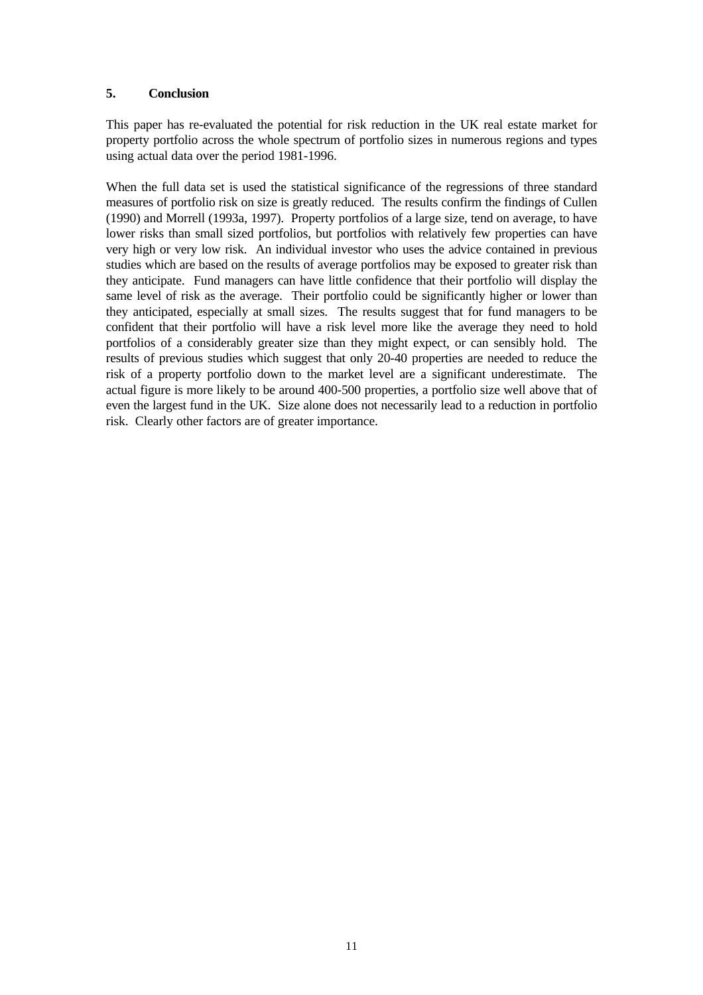### **5. Conclusion**

This paper has re-evaluated the potential for risk reduction in the UK real estate market for property portfolio across the whole spectrum of portfolio sizes in numerous regions and types using actual data over the period 1981-1996.

When the full data set is used the statistical significance of the regressions of three standard measures of portfolio risk on size is greatly reduced. The results confirm the findings of Cullen (1990) and Morrell (1993a, 1997). Property portfolios of a large size, tend on average, to have lower risks than small sized portfolios, but portfolios with relatively few properties can have very high or very low risk. An individual investor who uses the advice contained in previous studies which are based on the results of average portfolios may be exposed to greater risk than they anticipate. Fund managers can have little confidence that their portfolio will display the same level of risk as the average. Their portfolio could be significantly higher or lower than they anticipated, especially at small sizes. The results suggest that for fund managers to be confident that their portfolio will have a risk level more like the average they need to hold portfolios of a considerably greater size than they might expect, or can sensibly hold. The results of previous studies which suggest that only 20-40 properties are needed to reduce the risk of a property portfolio down to the market level are a significant underestimate. The actual figure is more likely to be around 400-500 properties, a portfolio size well above that of even the largest fund in the UK. Size alone does not necessarily lead to a reduction in portfolio risk. Clearly other factors are of greater importance.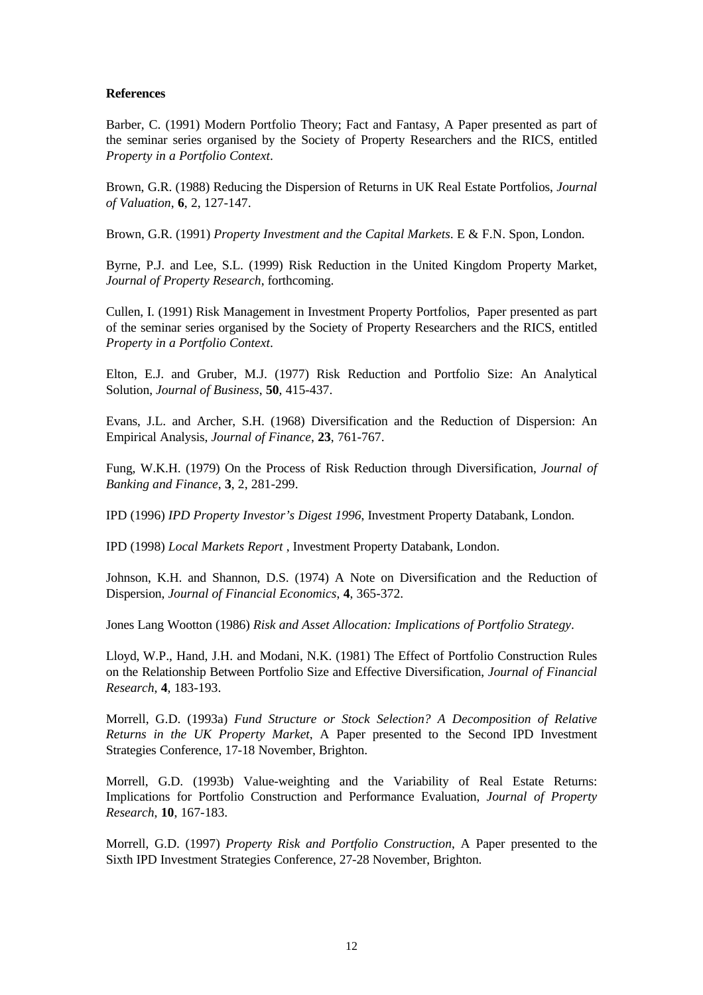### **References**

Barber, C. (1991) Modern Portfolio Theory; Fact and Fantasy, A Paper presented as part of the seminar series organised by the Society of Property Researchers and the RICS, entitled *Property in a Portfolio Context*.

Brown, G.R. (1988) Reducing the Dispersion of Returns in UK Real Estate Portfolios, *Journal of Valuation*, **6**, 2, 127-147.

Brown, G.R. (1991) *Property Investment and the Capital Markets*. E & F.N. Spon, London.

Byrne, P.J. and Lee, S.L. (1999) Risk Reduction in the United Kingdom Property Market, *Journal of Property Research*, forthcoming.

Cullen, I. (1991) Risk Management in Investment Property Portfolios, Paper presented as part of the seminar series organised by the Society of Property Researchers and the RICS, entitled *Property in a Portfolio Context*.

Elton, E.J. and Gruber, M.J. (1977) Risk Reduction and Portfolio Size: An Analytical Solution, *Journal of Business*, **50**, 415-437.

Evans, J.L. and Archer, S.H. (1968) Diversification and the Reduction of Dispersion: An Empirical Analysis, *Journal of Finance*, **23**, 761-767.

Fung, W.K.H. (1979) On the Process of Risk Reduction through Diversification, *Journal of Banking and Finance*, **3**, 2, 281-299.

IPD (1996) *IPD Property Investor's Digest 1996*, Investment Property Databank, London.

IPD (1998) *Local Markets Report* , Investment Property Databank, London.

Johnson, K.H. and Shannon, D.S. (1974) A Note on Diversification and the Reduction of Dispersion, *Journal of Financial Economics*, **4**, 365-372.

Jones Lang Wootton (1986) *Risk and Asset Allocation: Implications of Portfolio Strategy*.

Lloyd, W.P., Hand, J.H. and Modani, N.K. (1981) The Effect of Portfolio Construction Rules on the Relationship Between Portfolio Size and Effective Diversification, *Journal of Financial Research*, **4**, 183-193.

Morrell, G.D. (1993a) *Fund Structure or Stock Selection? A Decomposition of Relative Returns in the UK Property Market*, A Paper presented to the Second IPD Investment Strategies Conference, 17-18 November, Brighton.

Morrell, G.D. (1993b) Value-weighting and the Variability of Real Estate Returns: Implications for Portfolio Construction and Performance Evaluation, *Journal of Property Research*, **10**, 167-183.

Morrell, G.D. (1997) *Property Risk and Portfolio Construction*, A Paper presented to the Sixth IPD Investment Strategies Conference, 27-28 November, Brighton.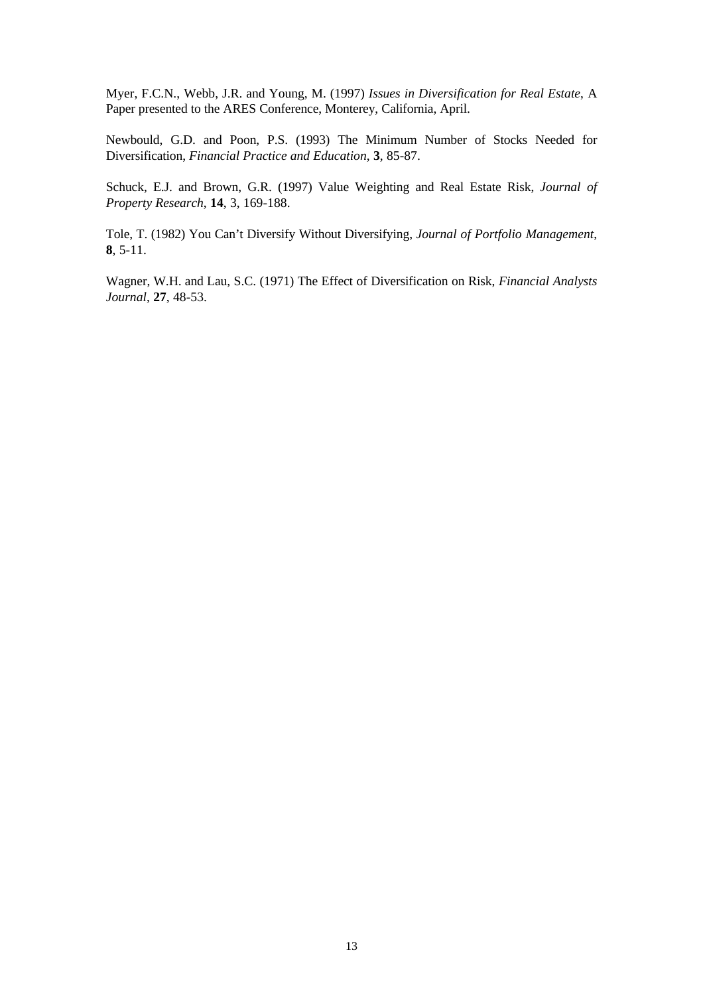Myer, F.C.N., Webb, J.R. and Young, M. (1997) *Issues in Diversification for Real Estate*, A Paper presented to the ARES Conference, Monterey, California, April.

Newbould, G.D. and Poon, P.S. (1993) The Minimum Number of Stocks Needed for Diversification, *Financial Practice and Education*, **3**, 85-87.

Schuck, E.J. and Brown, G.R. (1997) Value Weighting and Real Estate Risk, *Journal of Property Research*, **14**, 3, 169-188.

Tole, T. (1982) You Can't Diversify Without Diversifying, *Journal of Portfolio Management*, **8**, 5-11.

Wagner, W.H. and Lau, S.C. (1971) The Effect of Diversification on Risk, *Financial Analysts Journal*, **27**, 48-53.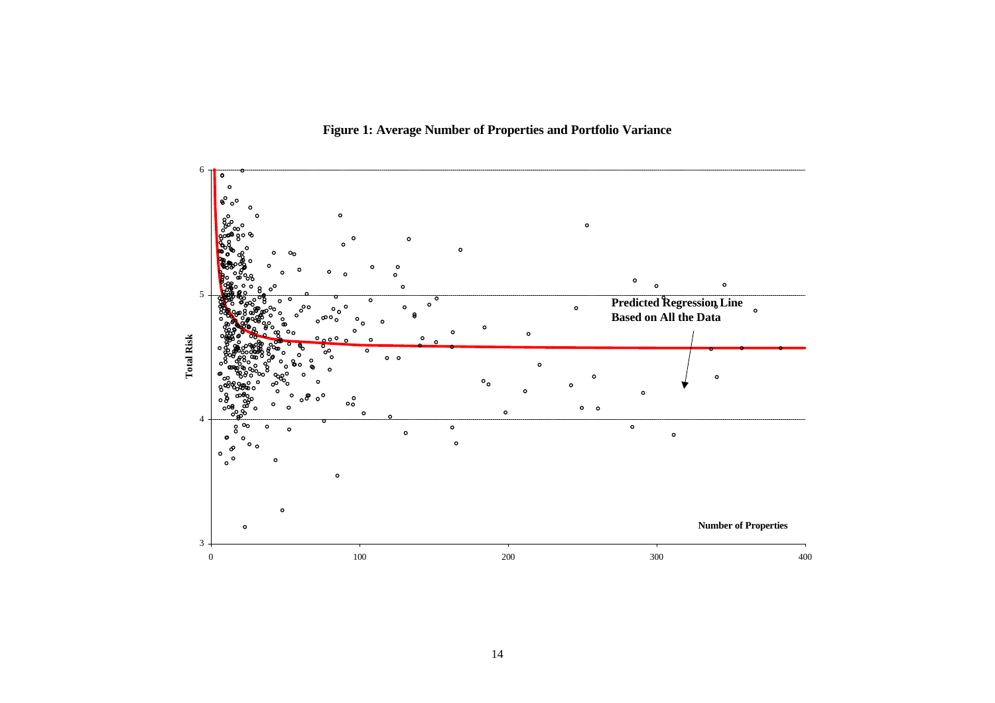**Figure 1: Average Number of Properties and Portfolio Variance**

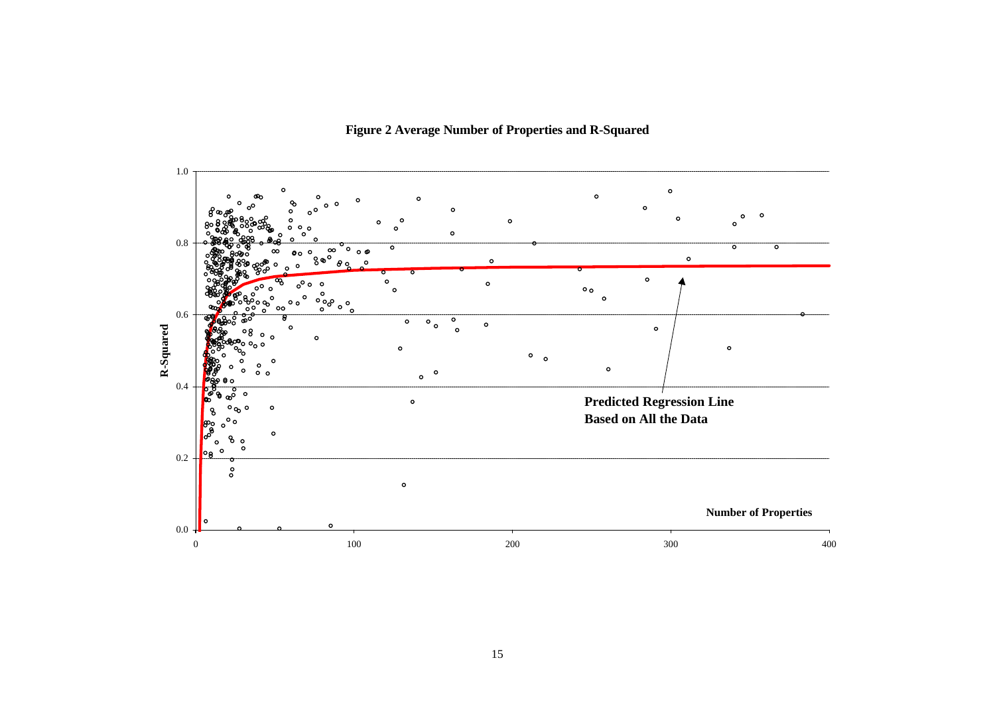

**Figure 2 Average Number of Properties and R-Squared**